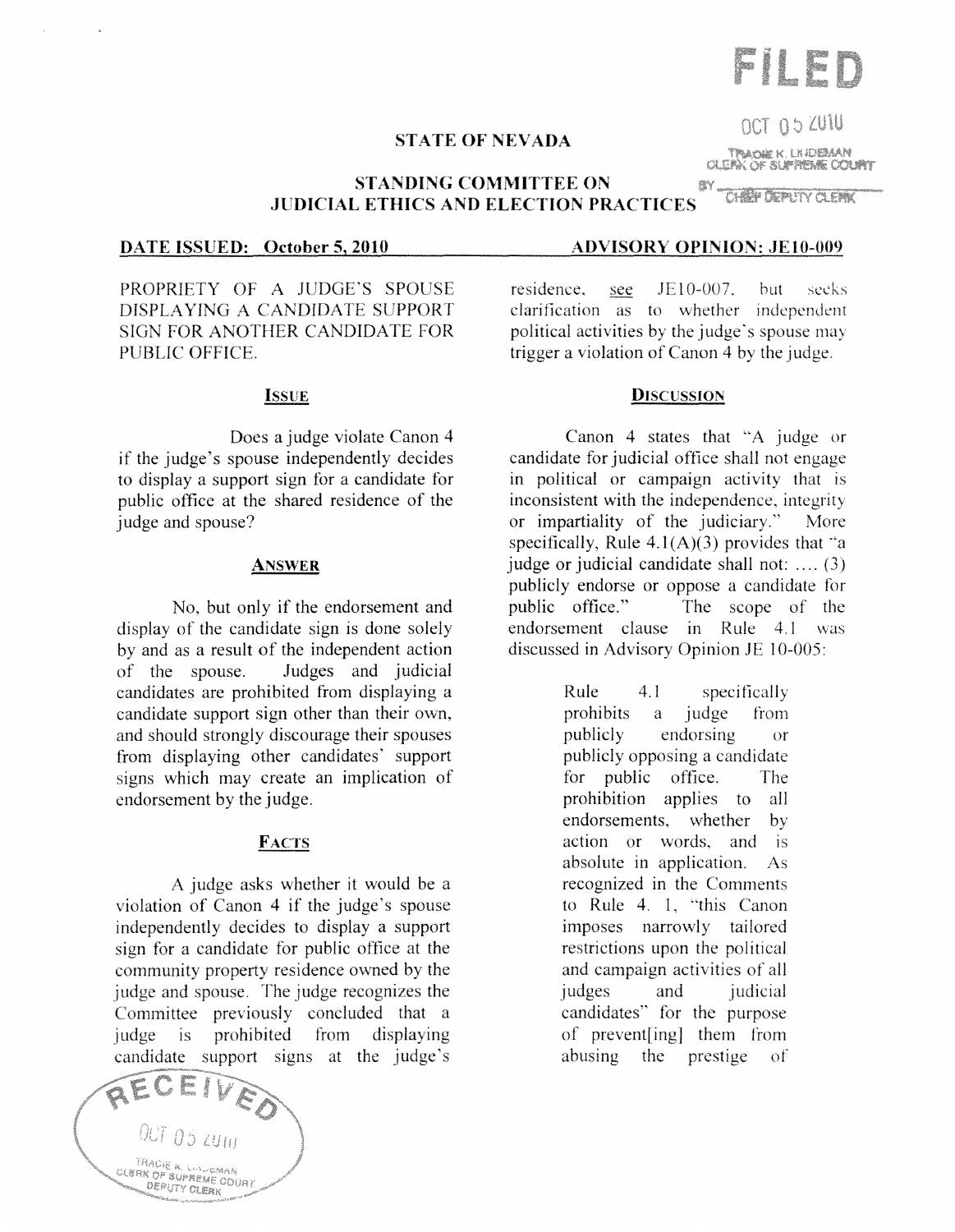# **STATE OF NEVADA**

**STANDING COMMITTEE ON JUDICIAL ETHICS AND ELECTION PRACTICES** 

**DATE ISSUED: October 5, 2010** 

PROPRIETY OF A JUDGE'S SPOUSE DISPLAYING A CANDIDATE SUPPORT SIGN FOR ANOTHER CANDIDATE FOR PUBLIC OFFICE.

#### **ISSUE**

Does a judge violate Canon 4 if the judge's spouse independently decides to display a support sign for a candidate for public office at the shared residence of the judge and spouse?

#### **ANSWER**

No, but only if the endorsement and display of the candidate sign is done solely by and as a result of the independent action of the spouse. Judges and judicial candidates are prohibited trom displaying a candidate support sign other than their own, and should strongly discourage their spouses from displaying other candidates' support signs which may create an implication of endorsement by the judge.

## **FACTS**

A judge asks whether it would be a violation of Canon 4 if the judge's spouse independently decides to display a support sign for a candidate for public office at the community property residence owned by the judge and spouse. The judge recognizes the Committee previously concluded that a judge is prohibited from displaying candidate support signs at the judge's

 $05\omega_{10}$ .<br>Thaois al linesman<br>HK of allegationan **CLERK OF SUPREME COURT** 

#### **ADVISORY OPINION: JE10-009**

ßY.

residence. see  $JE10-007$ but seeks. clarification as to whether independent political activities by the judge's spouse may trigger a violation of Canon 4 by the judge.

#### **DISCUSSION**

Canon 4 states that "A judge or candidate for judicial office shall not engage in political or campaign activity that is inconsistent with the independence, integrity or impartiality of the judiciary.'' More specifically, Rule  $4.1(A)(3)$  provides that "a judge or judicial candidate shall not: .... (3) publicly endorse or oppose a candidate for public office." The scope of the endorsement clause in Rule 4.1 was discussed in Advisory Opinion JE 10-005:

> Rule 4.1 specifically prohibits a judge from publicly endorsing or publicly opposing a candidate for public office. The prohibition applies to all endorsements, whether by action or words, and is absolute in application. As recognized in the Comments to Rule 4. I, "this Canon imposes narrowly tailored restrictions upon the political and campaign activities of all judges and judicial candidates" for the purpose of prevent[ing] them from abusing the prestige  $\sigma$



not as ZUIU TRAOIE K. LN DEMAN

OLEAN OF SUPPLEME COUPLY

CHEAP DEPARTY OF EAR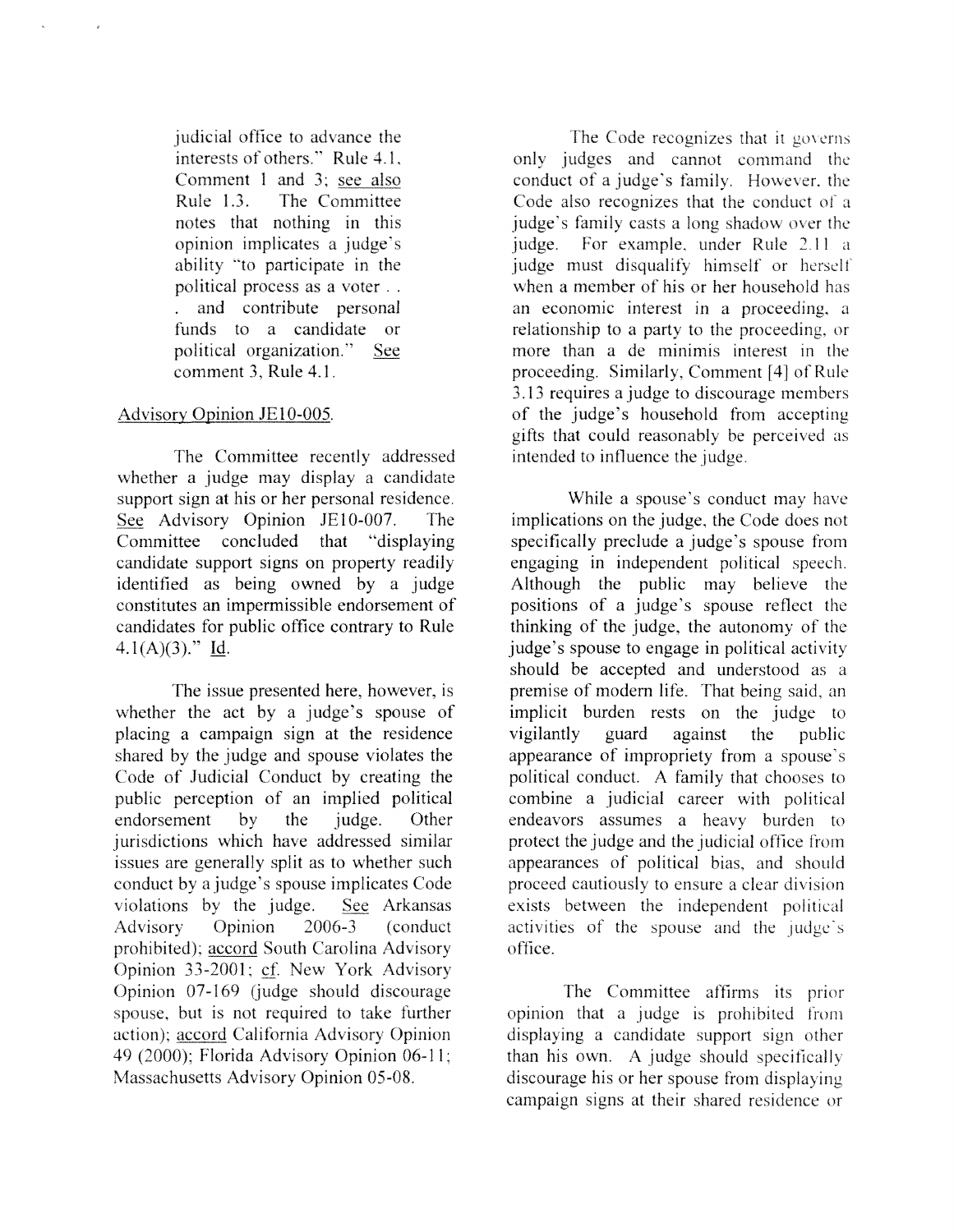judicial office to advance the interests of others." Rule 4.1, Comment 1 and 3: see also Rule 1.3. The Committee notes that nothing opinion implicates a ability "to participate in the political process as a voter .. and contribute personal funds to a candidate or political organization." **See** comment 3, Rule 4.1.

# Advisory Opinion JE10-005.

The Committee recently addressed whether a judge may display a candidate support sign at his or her personal residence. See Advisory Opinion JE10-007. The Committee concluded that "displaying candidate support signs on property readily identified as being owned by a judge constitutes an impermissible endorsement of candidates for public office contrary to Rule  $4.1(A)(3)$ ." Id.

The issue presented here, however, is whether the act by a judge's spouse of placing a campaign sign at the residence shared by the judge and spouse violates the Code of Judicial Conduct by creating the public perception of an implied political<br>endorsement by the judge. Other endorsement by the judge. Other jurisdictions which have addressed similar issues are generally split as to whether such conduct by a judge's spouse implicates Code violations by the judge. See Arkansas Advisory Opinion 2006-3 (conduct prohibited); accord South Carolina Advisory Opinion 33-2001; cf. New York Advisory Opinion 07-169 (judge should discourage spouse, but is not required to take further action); accord California Advisory Opinion 49 (2000); Florida Advisory Opinion 06-11; Massachusetts Advisory Opinion 05-08.

The Code recognizes that it governs<br>only judges and cannot command the conduct of a judge's family. However, the Code also recognizes that the conduct of a judge's family casts a long shadow over the judge. For example, under Rule 2.11 a judge must disqualify himself or herself when a member of his or her household has an economic interest in a proceeding. a relationship to a party to the proceeding, or more than a de minimis interest in the proceeding. Similarly, Comment [4) of Rule 3.13 requires a judge to discourage members of the judge's household from accepting gifts that could reasonably be perceived as intended to influence the judge.

While a spouse's conduct may have implications on the judge, the Code does not specifically preclude a judge's spouse from engaging in independent political speech. Although the public may believe the positions of a judge's spouse reflect the thinking of the judge, the autonomy of the judge's spouse to engage in political activity should be accepted and understood as a premise of modern life. That being said. an implicit burden rests on the judge to vigilantly guard against the public appearance of impropriety from a spouse's political conduct. A family that chooses to combine a judicial career with political endeavors assumes a heavy burden to protect the judge and the judicial office from appearances of political bias, and should proceed cautiously to ensure a clear division exists between the independent political activities of the spouse and the j office.

The Committee affirms its prior opinion that a judge is prohibited from displaying a candidate support sign other than his own. A judge should specifically discourage his or her spouse from displaying campaign signs at their shared residence or